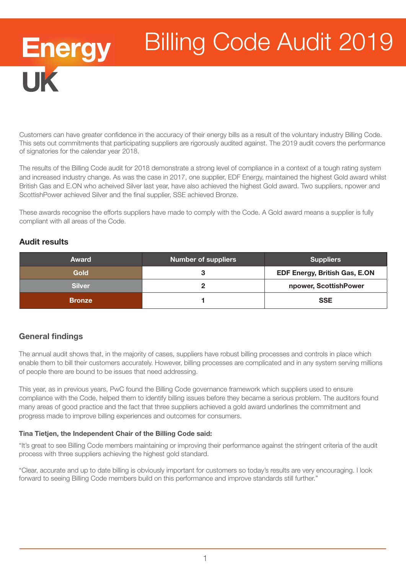# Energy<br>UK Billing Code Audit 2019

Customers can have greater confidence in the accuracy of their energy bills as a result of the voluntary industry Billing Code. This sets out commitments that participating suppliers are rigorously audited against. The 2019 audit covers the performance of signatories for the calendar year 2018.

The results of the Billing Code audit for 2018 demonstrate a strong level of compliance in a context of a tough rating system and increased industry change. As was the case in 2017, one supplier, EDF Energy, maintained the highest Gold award whilst British Gas and E.ON who acheived Silver last year, have also achieved the highest Gold award. Two suppliers, npower and ScottishPower achieved Silver and the final supplier, SSE achieved Bronze.

These awards recognise the efforts suppliers have made to comply with the Code. A Gold award means a supplier is fully compliant with all areas of the Code.

## Audit results

| <b>Award</b>  | <b>Number of suppliers</b> | <b>Suppliers</b>                     |
|---------------|----------------------------|--------------------------------------|
| <b>Gold</b>   |                            | <b>EDF Energy, British Gas, E.ON</b> |
| <b>Silver</b> |                            | npower, ScottishPower                |
| <b>Bronze</b> |                            | <b>SSE</b>                           |

# General findings

The annual audit shows that, in the majority of cases, suppliers have robust billing processes and controls in place which enable them to bill their customers accurately. However, billing processes are complicated and in any system serving millions of people there are bound to be issues that need addressing.

This year, as in previous years, PwC found the Billing Code governance framework which suppliers used to ensure compliance with the Code, helped them to identify billing issues before they became a serious problem. The auditors found many areas of good practice and the fact that three suppliers achieved a gold award underlines the commitment and progress made to improve billing experiences and outcomes for consumers.

#### Tina Tietjen, the Independent Chair of the Billing Code said:

"It's great to see Billing Code members maintaining or improving their performance against the stringent criteria of the audit process with three suppliers achieving the highest gold standard.

"Clear, accurate and up to date billing is obviously important for customers so today's results are very encouraging. I look forward to seeing Billing Code members build on this performance and improve standards still further."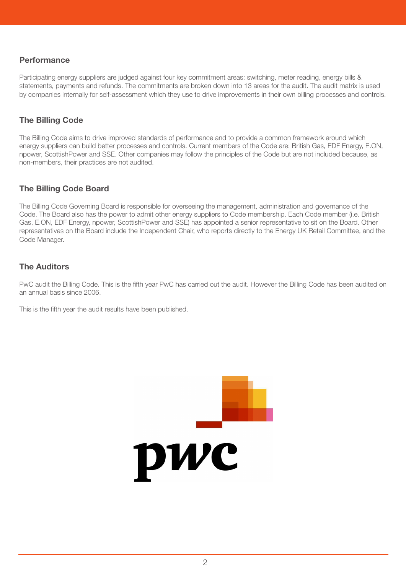#### **Performance**

Participating energy suppliers are judged against four key commitment areas: switching, meter reading, energy bills & statements, payments and refunds. The commitments are broken down into 13 areas for the audit. The audit matrix is used by companies internally for self-assessment which they use to drive improvements in their own billing processes and controls.

## The Billing Code

The Billing Code aims to drive improved standards of performance and to provide a common framework around which energy suppliers can build better processes and controls. Current members of the Code are: British Gas, EDF Energy, E.ON, npower, ScottishPower and SSE. Other companies may follow the principles of the Code but are not included because, as non-members, their practices are not audited.

#### The Billing Code Board

The Billing Code Governing Board is responsible for overseeing the management, administration and governance of the Code. The Board also has the power to admit other energy suppliers to Code membership. Each Code member (i.e. British Gas, E.ON, EDF Energy, npower, ScottishPower and SSE) has appointed a senior representative to sit on the Board. Other representatives on the Board include the Independent Chair, who reports directly to the Energy UK Retail Committee, and the Code Manager.

#### The Auditors

PwC audit the Billing Code. This is the fifth year PwC has carried out the audit. However the Billing Code has been audited on an annual basis since 2006.

This is the fifth year the audit results have been published.

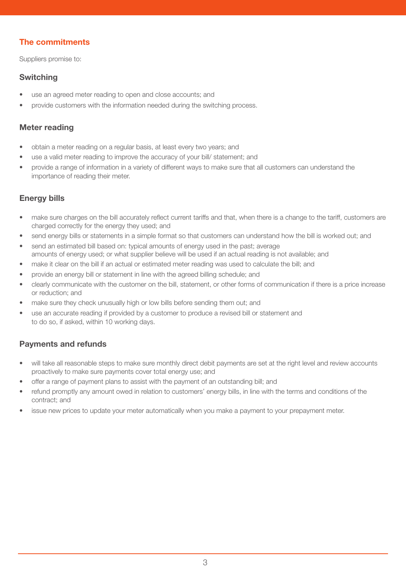# The commitments

Suppliers promise to:

#### Switching

- use an agreed meter reading to open and close accounts; and
- provide customers with the information needed during the switching process.

#### Meter reading

- obtain a meter reading on a regular basis, at least every two years; and
- use a valid meter reading to improve the accuracy of your bill/ statement; and
- provide a range of information in a variety of different ways to make sure that all customers can understand the importance of reading their meter.

# Energy bills

- make sure charges on the bill accurately reflect current tariffs and that, when there is a change to the tariff, customers are charged correctly for the energy they used; and
- send energy bills or statements in a simple format so that customers can understand how the bill is worked out; and
- send an estimated bill based on: typical amounts of energy used in the past; average amounts of energy used; or what supplier believe will be used if an actual reading is not available; and
- make it clear on the bill if an actual or estimated meter reading was used to calculate the bill; and
- provide an energy bill or statement in line with the agreed billing schedule; and
- clearly communicate with the customer on the bill, statement, or other forms of communication if there is a price increase or reduction; and
- make sure they check unusually high or low bills before sending them out; and
- use an accurate reading if provided by a customer to produce a revised bill or statement and to do so, if asked, within 10 working days.

## Payments and refunds

- will take all reasonable steps to make sure monthly direct debit payments are set at the right level and review accounts proactively to make sure payments cover total energy use; and
- offer a range of payment plans to assist with the payment of an outstanding bill; and
- refund promptly any amount owed in relation to customers' energy bills, in line with the terms and conditions of the contract; and
- issue new prices to update your meter automatically when you make a payment to your prepayment meter.